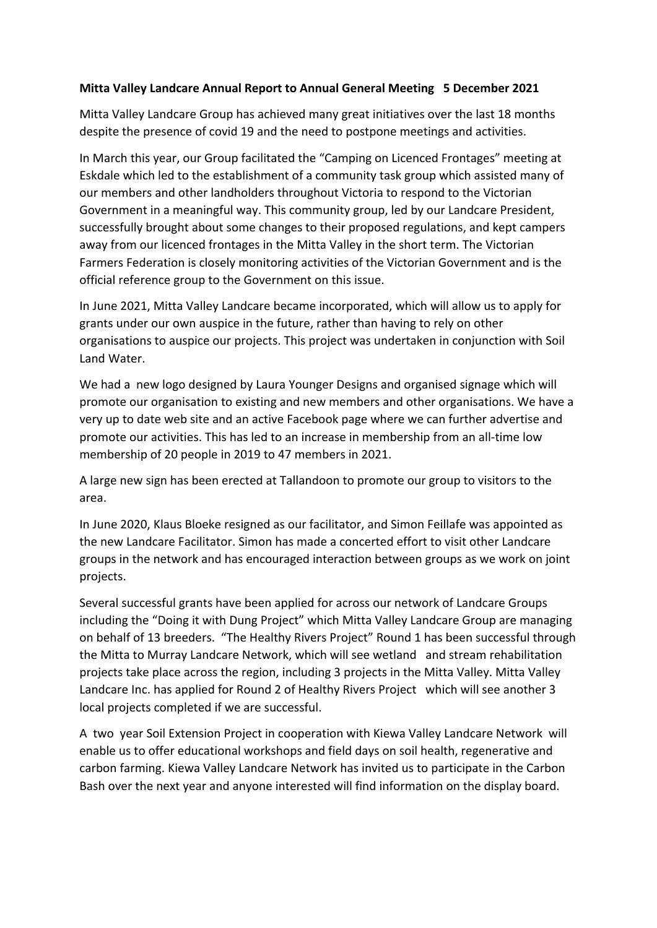## **Mitta Valley Landcare Annual Report to Annual General Meeting 5 December 2021**

Mitta Valley Landcare Group has achieved many great initiatives over the last 18 months despite the presence of covid 19 and the need to postpone meetings and activities.

In March this year, our Group facilitated the "Camping on Licenced Frontages" meeting at Eskdale which led to the establishment of a community task group which assisted many of our members and other landholders throughout Victoria to respond to the Victorian Government in a meaningful way. This community group, led by our Landcare President, successfully brought about some changes to their proposed regulations, and kept campers away from our licenced frontages in the Mitta Valley in the short term. The Victorian Farmers Federation is closely monitoring activities of the Victorian Government and is the official reference group to the Government on this issue.

In June 2021, Mitta Valley Landcare became incorporated, which will allow us to apply for grants under our own auspice in the future, rather than having to rely on other organisations to auspice our projects. This project was undertaken in conjunction with Soil Land Water.

We had a new logo designed by Laura Younger Designs and organised signage which will promote our organisation to existing and new members and other organisations. We have a very up to date web site and an active Facebook page where we can further advertise and promote our activities. This has led to an increase in membership from an all-time low membership of 20 people in 2019 to 47 members in 2021.

A large new sign has been erected at Tallandoon to promote our group to visitors to the area.

In June 2020, Klaus Bloeke resigned as our facilitator, and Simon Feillafe was appointed as the new Landcare Facilitator. Simon has made a concerted effort to visit other Landcare groups in the network and has encouraged interaction between groups as we work on joint projects.

Several successful grants have been applied for across our network of Landcare Groups including the "Doing it with Dung Project" which Mitta Valley Landcare Group are managing on behalf of 13 breeders. "The Healthy Rivers Project" Round 1 has been successful through the Mitta to Murray Landcare Network, which will see wetland and stream rehabilitation projects take place across the region, including 3 projects in the Mitta Valley. Mitta Valley Landcare Inc. has applied for Round 2 of Healthy Rivers Project which will see another 3 local projects completed if we are successful.

A two year Soil Extension Project in cooperation with Kiewa Valley Landcare Network will enable us to offer educational workshops and field days on soil health, regenerative and carbon farming. Kiewa Valley Landcare Network has invited us to participate in the Carbon Bash over the next year and anyone interested will find information on the display board.